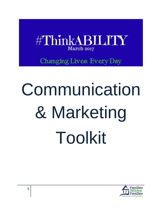

Changing Lives. Every Day.

# Communication & Marketing Toolkit

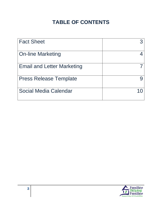## **TABLE OF CONTENTS**

| <b>Fact Sheet</b>                 |  |
|-----------------------------------|--|
| <b>On-line Marketing</b>          |  |
| <b>Email and Letter Marketing</b> |  |
| <b>Press Release Template</b>     |  |
| Social Media Calendar             |  |

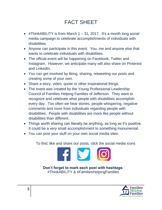## FACT SHEET

- $\bullet$  #ThinkABILITY is from March 1 31, 2017. It's a month long social media campaign to celebrate accomplishments of individuals with disabilities.
- Anyone can participate in this event. You, me and anyone else that wants to celebrate individuals with disabilities.
- The official event will be happening on Facebook, Twitter and Instagram. However, we anticipate many will also share on Pinterest and LinkedIn.
- You can get involved by liking, sharing, retweeting our posts and creating some of your own.
- Share a story, video, quote or other inspirational things.
- The event was created by the Young Professional Leadership Council of Families Helping Families of Jefferson. They want to recognize and celebrate what people with disabilities accomplish every day. Too often we hear stories, people whispering, negative comments and more from individuals regarding people with disabilities. People with disabilities are more like people without disabilities than different.
- Things worth sharing can literally be anything, as long as it's positive. It could be a very small accomplishment to something monumental.
- You can post your stuff on your own social media sites.

To find, like and share our posts, click the social media icons



**Don't forget to mark each post with hashtags**: #ThinkABILITY & #FamiliesHelpingFamilies

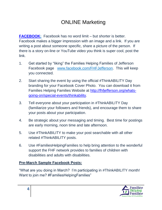## ONLINE Marketing

**[FACEBOOK:](http://www.facebook.com/FHFJefferson)** Facebook has no word limit – but shorter is better. Facebook makes a bigger impression with an image and a link. If you are writing a post about someone specific, share a picture of the person. If there is a story on-line or YouTube video you think is super cool, post the link.

- 1. Get started by "liking" the Families Helping Families of Jefferson Facebook page [www.facebook.com/FHFJefferson.](http://www.facebook.com/FHFJefferson) This will keep you connected.
- 2. Start sharing the event by using the official #ThinkABILITY Day branding for your Facebook Cover Photo. You can download it from Families Helping Families Website at [http://fhfjefferson.org/whats](http://fhfjefferson.org/whats-going-on/special-events/thinkability)[going-on/special-events/thinkability.](http://fhfjefferson.org/whats-going-on/special-events/thinkability)
- 3. Tell everyone about your participation in #ThinkABILITY Day (familiarize your followers and friends), and encourage them to share your posts about your participation.
- 4. Be strategic about your messaging and timing. Best time for postings are early morning, noon time and late afternoon.
- 5. Use #ThinkABILITY to make your post searchable with all other related #ThinkABILITY posts.
- 6. Use #FamiliesHelpingFamilies to help bring attention to the wonderful support the FHF network provides to families of children with disabilities and adults with disabilities.

#### **Pre-March Sample Facebook Posts:**

"What are you doing in March? I'm participating in #ThinkABILITY month! Want to join me? #FamiliesHelpingFamilies"

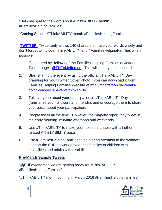"Help me spread the word about #ThinkABILITY month #FamiliesHelpingFamilies"

"Coming Soon – #ThinkABILITY month #FamiliesHelpingFamilies.

**[TWITTER:](https://twitter.com/FHFofJefferson)** Twitter only allows 140 characters – use your words wisely and don't forget to include #ThinkABILITY and #FamiliesHelpingFamilies when possible.

- 1. Get started by "following" the Families Helping Families of Jefferson Twitter page. [@FHFofJefferson.](https://twitter.com/FHFofJefferson) This will keep you connected.
- 2. Start sharing the event by using the official #ThinkABILITY Day branding for your Twitter Cover Photo. You can download it from Families Helping Families Website at [http://fhfjefferson.org/whats](http://fhfjefferson.org/whats-going-on/special-events/thinkability)[going-on/special-events/thinkability.](http://fhfjefferson.org/whats-going-on/special-events/thinkability)
- 3. Tell everyone about your participation in #ThinkABILITY Day (familiarize your followers and friends), and encourage them to share your posts about your participation.
- 4. People tweet all the time. However, the majority report they tweet in the early morning, mid/late afternoon and weekends.
- 5. Use #ThinkABILITY to make your post searchable with all other related #ThinkABILITY posts.
- 6. Use #FamiliesHelpingFamilies to help bring attention to the wonderful support the FHF network provides to families of children with disabilities and adults with disabilities.

#### **Pre-March Sample Tweets**

"@FHFofJefferson we are getting ready for #ThinkABILITY #FamiliesHelpingFamilies"

"#ThinkABILITY month coming in March 2016 #FamiliesHelpingFamilies"

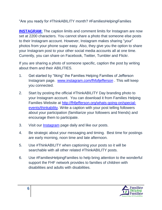"Are you ready for #ThinkABILITY month? #FamiliesHelpingFamilies

**[INSTAGRAM:](http://www.instagram.com/fhfofjefferson)** The caption limits and comment limits for Instagram are now set at 2200 characters. You cannot share a photo that someone else posts to their Instagram account. However, Instagram makes sharing "your" photos from your phone super easy. Also, they give you the option to share your Instagram post to your other social media accounts all at one time. Currently, you can share on Facebook, Twitter, Tumbler and Flickr.

If you are sharing a photo of someone specific, caption the post by writing about them and their ABILITIES.

- 1. Get started by "liking" the Families Helping Families of Jefferson Instagram page. [www.instagram.com/fhfofjefferson](http://www.instagram.com/fhfofjefferson) . This will keep you connected.
- 2. Start by posting the official #ThinkABILITY Day branding photo to your Instagram account. You can download it from Families Helping Families Website at [http://fhfjefferson.org/whats-going-on/special](http://fhfjefferson.org/whats-going-on/special-events/thinkability)[events/thinkability.](http://fhfjefferson.org/whats-going-on/special-events/thinkability) Write a caption with your post telling followers about your participation (familiarize your followers and friends) and encourage them to participate.
- 3. Visit our **Instagram** page daily and like our posts.
- 4. Be strategic about your messaging and timing. Best time for postings are early morning, noon time and late afternoon.
- 5. Use #ThinkABILITY when captioning your posts so it will be searchable with all other related #ThinkABILITY posts.
- 6. Use #FamiliesHelpingFamilies to help bring attention to the wonderful support the FHF network provides to families of children with disabilities and adults with disabilities.

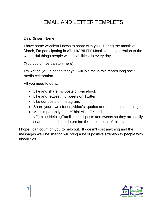## EMAIL AND LETTER TEMPLETS

Dear (Insert Name),

I have some wonderful news to share with you. During the month of March, I'm participating in #ThinkABILITY Month to bring attention to the wonderful things people with disabilities do every day.

(You could insert a story here)

I'm writing you in hopes that you will join me in this month long social media celebration.

All you need to do is:

- Like and share my posts on Facebook
- Like and retweet my tweets on Twitter
- Like our posts on Instagram.
- Share your own stories, video's, quotes or other inspiration things.
- Most importantly, use #ThinkABILITY and #FamiliesHelpingFamilies in all posts and tweets so they are easily searchable and can determine the true impact of this event.

I hope I can count on you to help out. It doesn't cost anything and the messages we'll be sharing will bring a lot of positive attention to people with disabilities.

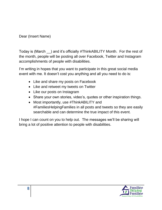Dear (Insert Name)

Today is (March \_\_) and it's officially #ThinkABILITY Month. For the rest of the month, people will be posting all over Facebook, Twitter and Instagram accomplishments of people with disabilities.

I'm writing in hopes that you want to participate in this great social media event with me. It doesn't cost you anything and all you need to do is:

- Like and share my posts on Facebook
- Like and retweet my tweets on Twitter
- Like our posts on Instagram
- Share your own stories, video's, quotes or other inspiration things.
- Most importantly, use #ThinkABILITY and #FamiliesHelpingFamilies in all posts and tweets so they are easily searchable and can determine the true impact of this event.

I hope I can count on you to help out. The messages we'll be sharing will bring a lot of positive attention to people with disabilities.

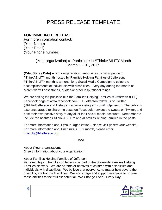## PRESS RELEASE TEMPLATE

#### **FOR IMMEDIATE RELEASE**

For more information contact: (Your Name) (Your Email) (Your Phone number)

> (Your organization) to Participate in #ThinkABILITY Month March 1 – 31, 2017

**(City, State / Date) –** (Your organization) announces its participation in #ThinkABILITY month hosted by Families Helping Families of Jefferson. #ThinkABILITY month is a month long Social Media Campaign to celebrate accomplishments of individuals with disabilities. Every day during the month of March we will post stories, quotes or other inspirational things.

We are asking the public to **like** the Families Helping Families of Jefferson (FHF) Facebook page at www.facebook.com/FHFJefferson follow us on Twitter @FHFofJefferson and Instagram at www.instagram.com/fhfofjefferson. The public is also encouraged to share the posts on Facebook, retweet the tweets on Twitter, and post their own positive story to any/all of their social media accounts. Remember to include the hashtags #ThinkABILITY and #FamiliesHelpingFamilies in the posts.

For more information about (Your Organization), please visit (insert your website). For more information about #ThinkABILITY month, please email [mjacob@fhfjefferson.org.](mailto:mjacob@fhfjefferson.org)

###

About (Your organization): (Insert information about your organization)

About Families Helping Families of Jefferson:

Families Helping Families of Jefferson is part of the Statewide Families Helping Families Network. We are parents or relatives of children with disabilities and individuals with disabilities. We believe that everyone, no matter how severe the disability, are born with abilities. We encourage and support everyone to nurture those abilities to their fullest potential. We Change Lives. Every Day.

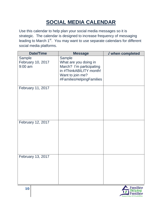# **SOCIAL MEDIA CALENDAR**

Use this calendar to help plan your social media messages so it is strategic. The calendar is designed to increase frequency of messaging leading to March 1<sup>st</sup>. You may want to use separate calendars for different social media platforms.

| <b>Date/Time</b>                         | <b>Message</b>                                                                                                                         | √ when completed |
|------------------------------------------|----------------------------------------------------------------------------------------------------------------------------------------|------------------|
| Sample<br>February 10, 2017<br>$9:00$ am | Sample<br>What are you doing in<br>March? I'm participating<br>in #ThinkABILITY month!<br>Want to join me?<br>#FamiliesHelpingFamilies |                  |
| February 11, 2017                        |                                                                                                                                        |                  |
| February 12, 2017                        |                                                                                                                                        |                  |
| February 13, 2017                        |                                                                                                                                        |                  |

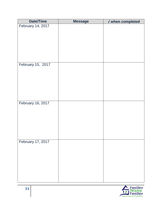| <b>Date/Time</b>  | <b>Message</b> | <b>J</b> when completed |
|-------------------|----------------|-------------------------|
| February 14, 2017 |                |                         |
|                   |                |                         |
|                   |                |                         |
|                   |                |                         |
|                   |                |                         |
|                   |                |                         |
|                   |                |                         |
|                   |                |                         |
| February 15, 2017 |                |                         |
|                   |                |                         |
|                   |                |                         |
|                   |                |                         |
|                   |                |                         |
|                   |                |                         |
|                   |                |                         |
| February 16, 2017 |                |                         |
|                   |                |                         |
|                   |                |                         |
|                   |                |                         |
|                   |                |                         |
|                   |                |                         |
|                   |                |                         |
|                   |                |                         |
| February 17, 2017 |                |                         |
|                   |                |                         |
|                   |                |                         |
|                   |                |                         |
|                   |                |                         |
|                   |                |                         |
|                   |                |                         |
|                   |                |                         |
|                   |                |                         |

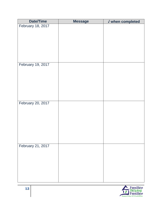| <b>Date/Time</b>  | <b>Message</b> | <b>J</b> when completed |
|-------------------|----------------|-------------------------|
| February 18, 2017 |                |                         |
|                   |                |                         |
|                   |                |                         |
|                   |                |                         |
|                   |                |                         |
|                   |                |                         |
|                   |                |                         |
| February 19, 2017 |                |                         |
|                   |                |                         |
|                   |                |                         |
|                   |                |                         |
|                   |                |                         |
|                   |                |                         |
|                   |                |                         |
| February 20, 2017 |                |                         |
|                   |                |                         |
|                   |                |                         |
|                   |                |                         |
|                   |                |                         |
|                   |                |                         |
|                   |                |                         |
|                   |                |                         |
| February 21, 2017 |                |                         |
|                   |                |                         |
|                   |                |                         |
|                   |                |                         |
|                   |                |                         |
|                   |                |                         |
|                   |                |                         |

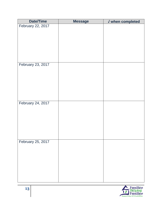| <b>Date/Time</b>  | <b>Message</b> | √ when completed |
|-------------------|----------------|------------------|
| February 22, 2017 |                |                  |
|                   |                |                  |
|                   |                |                  |
|                   |                |                  |
|                   |                |                  |
|                   |                |                  |
|                   |                |                  |
|                   |                |                  |
| February 23, 2017 |                |                  |
|                   |                |                  |
|                   |                |                  |
|                   |                |                  |
|                   |                |                  |
|                   |                |                  |
|                   |                |                  |
| February 24, 2017 |                |                  |
|                   |                |                  |
|                   |                |                  |
|                   |                |                  |
|                   |                |                  |
|                   |                |                  |
|                   |                |                  |
|                   |                |                  |
| February 25, 2017 |                |                  |
|                   |                |                  |
|                   |                |                  |
|                   |                |                  |
|                   |                |                  |
|                   |                |                  |
|                   |                |                  |
|                   |                |                  |
|                   |                |                  |

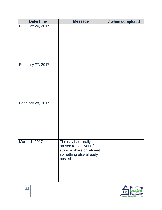| <b>Date/Time</b>  | <b>Message</b>                                    | √ when completed |
|-------------------|---------------------------------------------------|------------------|
| February 26, 2017 |                                                   |                  |
|                   |                                                   |                  |
|                   |                                                   |                  |
|                   |                                                   |                  |
|                   |                                                   |                  |
|                   |                                                   |                  |
|                   |                                                   |                  |
| February 27, 2017 |                                                   |                  |
|                   |                                                   |                  |
|                   |                                                   |                  |
|                   |                                                   |                  |
|                   |                                                   |                  |
|                   |                                                   |                  |
| February 28, 2017 |                                                   |                  |
|                   |                                                   |                  |
|                   |                                                   |                  |
|                   |                                                   |                  |
|                   |                                                   |                  |
|                   |                                                   |                  |
|                   |                                                   |                  |
| March 1, 2017     | The day has finally<br>arrived to post your first |                  |
|                   | story or share or retweet                         |                  |
|                   | something else already                            |                  |
|                   | posted.                                           |                  |
|                   |                                                   |                  |
|                   |                                                   |                  |
|                   |                                                   |                  |

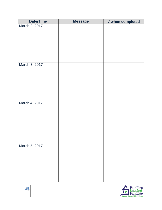| <b>J</b> when completed<br>March 2, 2017<br>March 3, 2017 |
|-----------------------------------------------------------|
|                                                           |
|                                                           |
|                                                           |
|                                                           |
|                                                           |
|                                                           |
|                                                           |
|                                                           |
|                                                           |
|                                                           |
|                                                           |
|                                                           |
|                                                           |
|                                                           |
|                                                           |
| March 4, 2017                                             |
|                                                           |
|                                                           |
|                                                           |
|                                                           |
|                                                           |
|                                                           |
|                                                           |
|                                                           |
| March 5, 2017                                             |
|                                                           |
|                                                           |
|                                                           |
|                                                           |
|                                                           |
|                                                           |

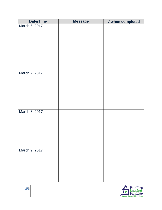| <b>Date/Time</b> | <b>Message</b> | <b>J</b> when completed |
|------------------|----------------|-------------------------|
| March 6, 2017    |                |                         |
|                  |                |                         |
|                  |                |                         |
|                  |                |                         |
|                  |                |                         |
|                  |                |                         |
|                  |                |                         |
|                  |                |                         |
|                  |                |                         |
| March 7, 2017    |                |                         |
|                  |                |                         |
|                  |                |                         |
|                  |                |                         |
|                  |                |                         |
|                  |                |                         |
|                  |                |                         |
| March 8, 2017    |                |                         |
|                  |                |                         |
|                  |                |                         |
|                  |                |                         |
|                  |                |                         |
|                  |                |                         |
|                  |                |                         |
| March 9, 2017    |                |                         |
|                  |                |                         |
|                  |                |                         |
|                  |                |                         |
|                  |                |                         |
|                  |                |                         |
|                  |                |                         |

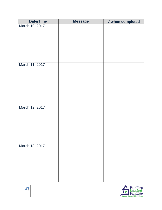| <b>Date/Time</b> | <b>Message</b> | <b>J</b> when completed |
|------------------|----------------|-------------------------|
| March 10, 2017   |                |                         |
|                  |                |                         |
|                  |                |                         |
|                  |                |                         |
|                  |                |                         |
|                  |                |                         |
|                  |                |                         |
|                  |                |                         |
| March 11, 2017   |                |                         |
|                  |                |                         |
|                  |                |                         |
|                  |                |                         |
|                  |                |                         |
|                  |                |                         |
|                  |                |                         |
|                  |                |                         |
| March 12, 2017   |                |                         |
|                  |                |                         |
|                  |                |                         |
|                  |                |                         |
|                  |                |                         |
|                  |                |                         |
|                  |                |                         |
| March 13, 2017   |                |                         |
|                  |                |                         |
|                  |                |                         |
|                  |                |                         |
|                  |                |                         |
|                  |                |                         |
|                  |                |                         |
|                  |                |                         |

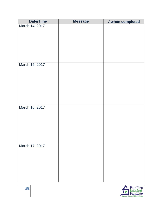| <b>Date/Time</b> | <b>Message</b> | <b>J</b> when completed |
|------------------|----------------|-------------------------|
| March 14, 2017   |                |                         |
|                  |                |                         |
|                  |                |                         |
|                  |                |                         |
|                  |                |                         |
|                  |                |                         |
|                  |                |                         |
| March 15, 2017   |                |                         |
|                  |                |                         |
|                  |                |                         |
|                  |                |                         |
|                  |                |                         |
|                  |                |                         |
|                  |                |                         |
|                  |                |                         |
|                  |                |                         |
| March 16, 2017   |                |                         |
|                  |                |                         |
|                  |                |                         |
|                  |                |                         |
|                  |                |                         |
|                  |                |                         |
|                  |                |                         |
| March 17, 2017   |                |                         |
|                  |                |                         |
|                  |                |                         |
|                  |                |                         |
|                  |                |                         |
|                  |                |                         |
|                  |                |                         |

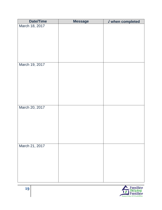| <b>Date/Time</b> | <b>Message</b> | <b>J</b> when completed |
|------------------|----------------|-------------------------|
| March 18, 2017   |                |                         |
|                  |                |                         |
|                  |                |                         |
|                  |                |                         |
|                  |                |                         |
|                  |                |                         |
|                  |                |                         |
| March 19, 2017   |                |                         |
|                  |                |                         |
|                  |                |                         |
|                  |                |                         |
|                  |                |                         |
|                  |                |                         |
|                  |                |                         |
|                  |                |                         |
|                  |                |                         |
| March 20, 2017   |                |                         |
|                  |                |                         |
|                  |                |                         |
|                  |                |                         |
|                  |                |                         |
|                  |                |                         |
|                  |                |                         |
|                  |                |                         |
|                  |                |                         |
|                  |                |                         |
|                  |                |                         |
|                  |                |                         |
|                  |                |                         |
|                  |                |                         |
| March 21, 2017   |                |                         |

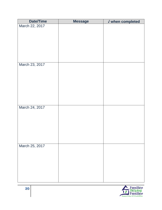| <b>Date/Time</b> | <b>Message</b> | <b>J</b> when completed |
|------------------|----------------|-------------------------|
| March 22, 2017   |                |                         |
|                  |                |                         |
|                  |                |                         |
|                  |                |                         |
|                  |                |                         |
|                  |                |                         |
|                  |                |                         |
|                  |                |                         |
| March 23, 2017   |                |                         |
|                  |                |                         |
|                  |                |                         |
|                  |                |                         |
|                  |                |                         |
|                  |                |                         |
|                  |                |                         |
|                  |                |                         |
| March 24, 2017   |                |                         |
|                  |                |                         |
|                  |                |                         |
|                  |                |                         |
|                  |                |                         |
|                  |                |                         |
|                  |                |                         |
|                  |                |                         |
| March 25, 2017   |                |                         |
|                  |                |                         |
|                  |                |                         |
|                  |                |                         |
|                  |                |                         |
|                  |                |                         |
|                  |                |                         |
|                  |                |                         |

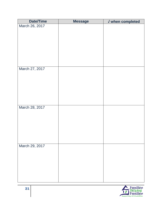| Date/Time      | <b>Message</b> | <b>J</b> when completed |
|----------------|----------------|-------------------------|
| March 26, 2017 |                |                         |
|                |                |                         |
|                |                |                         |
|                |                |                         |
|                |                |                         |
|                |                |                         |
|                |                |                         |
| March 27, 2017 |                |                         |
|                |                |                         |
|                |                |                         |
|                |                |                         |
|                |                |                         |
|                |                |                         |
|                |                |                         |
| March 28, 2017 |                |                         |
|                |                |                         |
|                |                |                         |
|                |                |                         |
|                |                |                         |
|                |                |                         |
|                |                |                         |
| March 29, 2017 |                |                         |
|                |                |                         |
|                |                |                         |
|                |                |                         |
|                |                |                         |
|                |                |                         |
|                |                |                         |